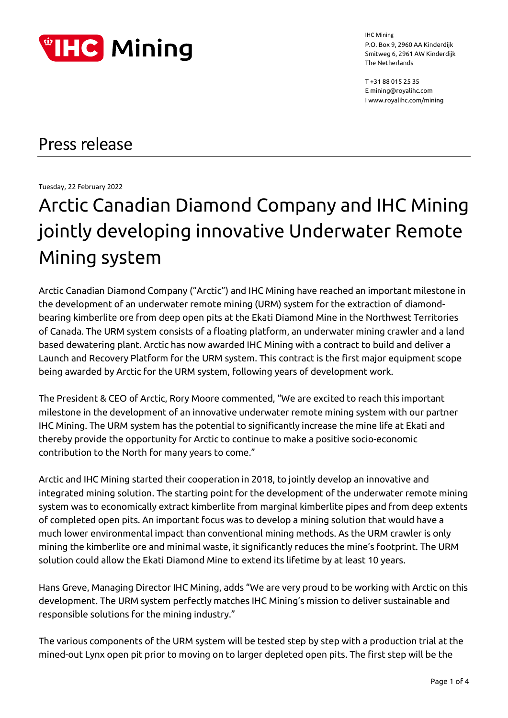

T +31 88 015 25 35 E mining@royalihc.com I www.royalihc.com/mining

## Press release

Tuesday, 22 February 2022

# Arctic Canadian Diamond Company and IHC Mining jointly developing innovative Underwater Remote Mining system

Arctic Canadian Diamond Company ("Arctic") and IHC Mining have reached an important milestone in the development of an underwater remote mining (URM) system for the extraction of diamondbearing kimberlite ore from deep open pits at the Ekati Diamond Mine in the Northwest Territories of Canada. The URM system consists of a floating platform, an underwater mining crawler and a land based dewatering plant. Arctic has now awarded IHC Mining with a contract to build and deliver a Launch and Recovery Platform for the URM system. This contract is the first major equipment scope being awarded by Arctic for the URM system, following years of development work.

The President & CEO of Arctic, Rory Moore commented, "We are excited to reach this important milestone in the development of an innovative underwater remote mining system with our partner IHC Mining. The URM system has the potential to significantly increase the mine life at Ekati and thereby provide the opportunity for Arctic to continue to make a positive socio-economic contribution to the North for many years to come."

Arctic and IHC Mining started their cooperation in 2018, to jointly develop an innovative and integrated mining solution. The starting point for the development of the underwater remote mining system was to economically extract kimberlite from marginal kimberlite pipes and from deep extents of completed open pits. An important focus was to develop a mining solution that would have a much lower environmental impact than conventional mining methods. As the URM crawler is only mining the kimberlite ore and minimal waste, it significantly reduces the mine's footprint. The URM solution could allow the Ekati Diamond Mine to extend its lifetime by at least 10 years.

Hans Greve, Managing Director IHC Mining, adds "We are very proud to be working with Arctic on this development. The URM system perfectly matches IHC Mining's mission to deliver sustainable and responsible solutions for the mining industry."

The various components of the URM system will be tested step by step with a production trial at the mined-out Lynx open pit prior to moving on to larger depleted open pits. The first step will be the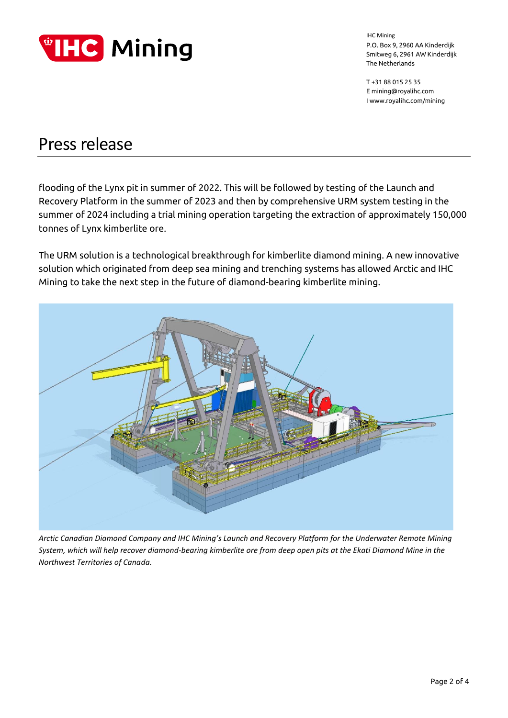

T +31 88 015 25 35 E mining@royalihc.com I www.royalihc.com/mining

### Press release

flooding of the Lynx pit in summer of 2022. This will be followed by testing of the Launch and Recovery Platform in the summer of 2023 and then by comprehensive URM system testing in the summer of 2024 including a trial mining operation targeting the extraction of approximately 150,000 tonnes of Lynx kimberlite ore.

The URM solution is a technological breakthrough for kimberlite diamond mining. A new innovative solution which originated from deep sea mining and trenching systems has allowed Arctic and IHC Mining to take the next step in the future of diamond-bearing kimberlite mining.



*Arctic Canadian Diamond Company and IHC Mining's Launch and Recovery Platform for the Underwater Remote Mining System, which will help recover diamond-bearing kimberlite ore from deep open pits at the Ekati Diamond Mine in the Northwest Territories of Canada.*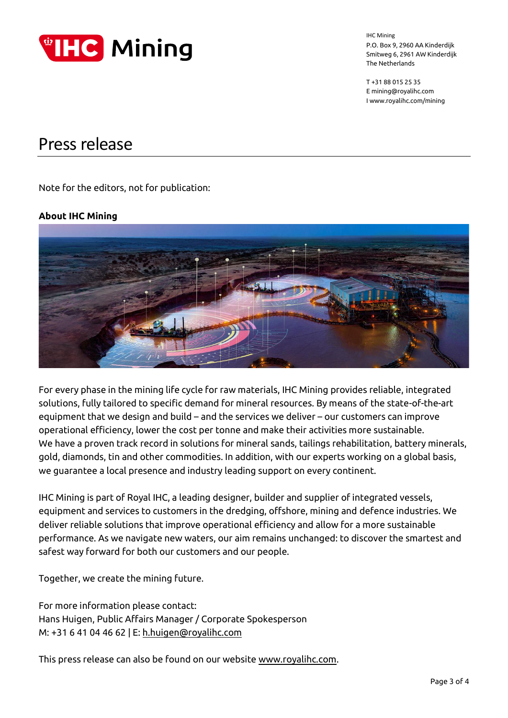

T +31 88 015 25 35 E mining@royalihc.com I www.royalihc.com/mining

### Press release

Note for the editors, not for publication:

#### **About IHC Mining**



For every phase in the mining life cycle for raw materials, IHC Mining provides reliable, integrated solutions, fully tailored to specific demand for mineral resources. By means of the state-of-the-art equipment that we design and build – and the services we deliver – our customers can improve operational efficiency, lower the cost per tonne and make their activities more sustainable. We have a proven track record in solutions for mineral sands, tailings rehabilitation, battery minerals, gold, diamonds, tin and other commodities. In addition, with our experts working on a global basis, we guarantee a local presence and industry leading support on every continent.

IHC Mining is part of Royal IHC, a leading designer, builder and supplier of integrated vessels, equipment and services to customers in the dredging, offshore, mining and defence industries. We deliver reliable solutions that improve operational efficiency and allow for a more sustainable performance. As we navigate new waters, our aim remains unchanged: to discover the smartest and safest way forward for both our customers and our people.

Together, we create the mining future.

For more information please contact: Hans Huigen, Public Affairs Manager / Corporate Spokesperson M: +31 6 41 04 46 62 | E: [h.huigen@royalihc.com](mailto:h.huigen@royalihc.com)

This press release can also be found on our website [www.royalihc.com.](http://www.royalihc.com/)